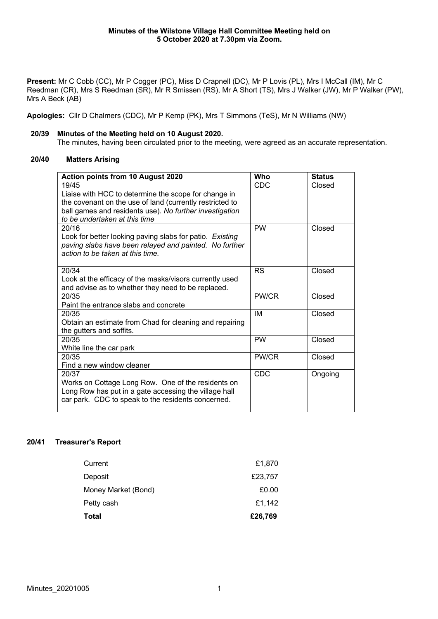Present: Mr C Cobb (CC), Mr P Cogger (PC), Miss D Crapnell (DC), Mr P Lovis (PL), Mrs I McCall (IM), Mr C Reedman (CR), Mrs S Reedman (SR), Mr R Smissen (RS), Mr A Short (TS), Mrs J Walker (JW), Mr P Walker (PW), Mrs A Beck (AB)

**Apologies:** Cllr D Chalmers (CDC), Mr P Kemp (PK), Mrs T Simmons (TeS), Mr N Williams (NW)

## **20/39 Minutes of the Meeting held on 10 August 2020.**

The minutes, having been circulated prior to the meeting, were agreed as an accurate representation.

# **20/40 Matters Arising**

| Action points from 10 August 2020                                                          | Who        | <b>Status</b> |
|--------------------------------------------------------------------------------------------|------------|---------------|
| 19/45                                                                                      | CDC        | Closed        |
| Liaise with HCC to determine the scope for change in                                       |            |               |
| the covenant on the use of land (currently restricted to                                   |            |               |
| ball games and residents use). No further investigation                                    |            |               |
| to be undertaken at this time                                                              |            |               |
| 20/16                                                                                      | <b>PW</b>  | Closed        |
| Look for better looking paving slabs for patio. Existing                                   |            |               |
| paving slabs have been relayed and painted. No further<br>action to be taken at this time. |            |               |
|                                                                                            |            |               |
| 20/34                                                                                      | <b>RS</b>  | Closed        |
| Look at the efficacy of the masks/visors currently used                                    |            |               |
| and advise as to whether they need to be replaced.                                         |            |               |
| 20/35                                                                                      | PW/CR      | Closed        |
| Paint the entrance slabs and concrete                                                      |            |               |
| 20/35                                                                                      | IM         | Closed        |
| Obtain an estimate from Chad for cleaning and repairing                                    |            |               |
| the gutters and soffits.                                                                   |            |               |
| 20/35                                                                                      | <b>PW</b>  | Closed        |
| White line the car park                                                                    |            |               |
| 20/35                                                                                      | PW/CR      | Closed        |
| Find a new window cleaner                                                                  |            |               |
| 20/37                                                                                      | <b>CDC</b> | Ongoing       |
| Works on Cottage Long Row. One of the residents on                                         |            |               |
| Long Row has put in a gate accessing the village hall                                      |            |               |
| car park. CDC to speak to the residents concerned.                                         |            |               |
|                                                                                            |            |               |

# **20/41 Treasurer's Report**

| Current             | £1,870  |
|---------------------|---------|
| Deposit             | £23,757 |
| Money Market (Bond) | £0.00   |
| Petty cash          | £1,142  |
| Total               | £26,769 |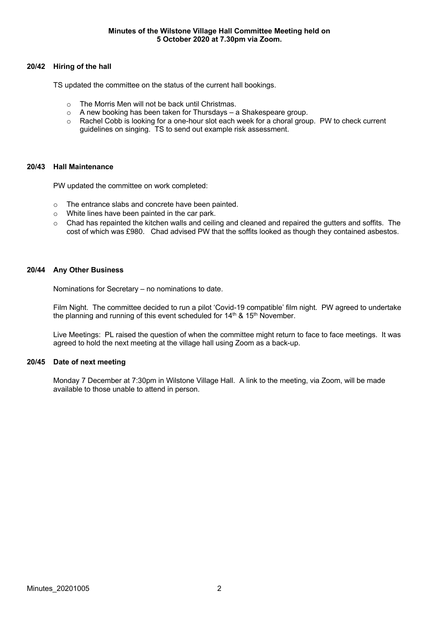# **20/42 Hiring of the hall**

TS updated the committee on the status of the current hall bookings.

- $\circ$  The Morris Men will not be back until Christmas.
- o A new booking has been taken for Thursdays a Shakespeare group.
- o Rachel Cobb is looking for a one-hour slot each week for a choral group. PW to check current guidelines on singing. TS to send out example risk assessment.

#### **20/43 Hall Maintenance**

PW updated the committee on work completed:

- o The entrance slabs and concrete have been painted.
- o White lines have been painted in the car park.
- $\circ$  Chad has repainted the kitchen walls and ceiling and cleaned and repaired the gutters and soffits. The cost of which was £980. Chad advised PW that the soffits looked as though they contained asbestos.

### **20/44 Any Other Business**

Nominations for Secretary – no nominations to date.

Film Night. The committee decided to run a pilot 'Covid-19 compatible' film night. PW agreed to undertake the planning and running of this event scheduled for  $14<sup>th</sup>$  &  $15<sup>th</sup>$  November.

Live Meetings: PL raised the question of when the committee might return to face to face meetings. It was agreed to hold the next meeting at the village hall using Zoom as a back-up.

#### **20/45 Date of next meeting**

Monday 7 December at 7:30pm in Wilstone Village Hall. A link to the meeting, via Zoom, will be made available to those unable to attend in person.